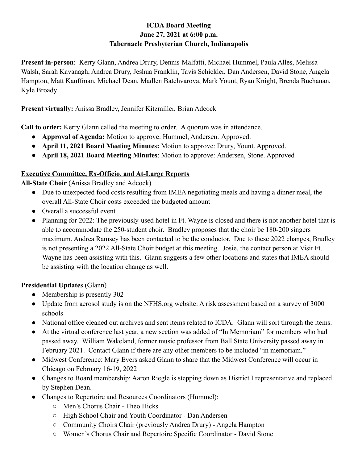#### **ICDA Board Meeting June 27, 2021 at 6:00 p.m. Tabernacle Presbyterian Church, Indianapolis**

**Present in-person**: Kerry Glann, Andrea Drury, Dennis Malfatti, Michael Hummel, Paula Alles, Melissa Walsh, Sarah Kavanagh, Andrea Drury, Jeshua Franklin, Tavis Schickler, Dan Andersen, David Stone, Angela Hampton, Matt Kauffman, Michael Dean, Madlen Batchvarova, Mark Yount, Ryan Knight, Brenda Buchanan, Kyle Broady

**Present virtually:** Anissa Bradley, Jennifer Kitzmiller, Brian Adcock

**Call to order:** Kerry Glann called the meeting to order. A quorum was in attendance.

- **Approval of Agenda:** Motion to approve: Hummel, Andersen. Approved.
- **April 11, 2021 Board Meeting Minutes:** Motion to approve: Drury, Yount. Approved.
- **April 18, 2021 Board Meeting Minutes**: Motion to approve: Andersen, Stone. Approved

# **Executive Committee, Ex-Officio, and At-Large Reports**

**All-State Choir** (Anissa Bradley and Adcock)

- Due to unexpected food costs resulting from IMEA negotiating meals and having a dinner meal, the overall All-State Choir costs exceeded the budgeted amount
- Overall a successful event
- Planning for 2022: The previously-used hotel in Ft. Wayne is closed and there is not another hotel that is able to accommodate the 250-student choir. Bradley proposes that the choir be 180-200 singers maximum. Andrea Ramsey has been contacted to be the conductor. Due to these 2022 changes, Bradley is not presenting a 2022 All-State Choir budget at this meeting. Josie, the contact person at Visit Ft. Wayne has been assisting with this. Glann suggests a few other locations and states that IMEA should be assisting with the location change as well.

# **Presidential Updates** (Glann)

- Membership is presently 302
- Update from aerosol study is on the NFHS.org website: A risk assessment based on a survey of 3000 schools
- National office cleaned out archives and sent items related to ICDA. Glann will sort through the items.
- At the virtual conference last year, a new section was added of "In Memoriam" for members who had passed away. William Wakeland, former music professor from Ball State University passed away in February 2021. Contact Glann if there are any other members to be included "in memoriam."
- Midwest Conference: Mary Evers asked Glann to share that the Midwest Conference will occur in Chicago on February 16-19, 2022
- Changes to Board membership: Aaron Riegle is stepping down as District I representative and replaced by Stephen Dean.
- Changes to Repertoire and Resources Coordinators (Hummel):
	- Men's Chorus Chair Theo Hicks
	- High School Chair and Youth Coordinator Dan Andersen
	- Community Choirs Chair (previously Andrea Drury) Angela Hampton
	- Women's Chorus Chair and Repertoire Specific Coordinator David Stone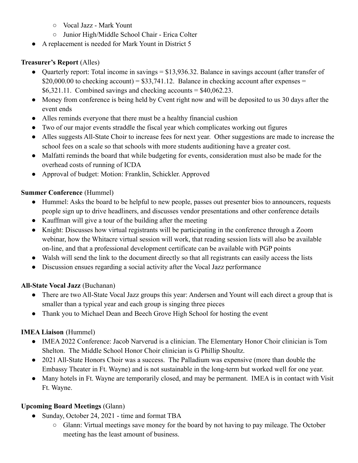- Vocal Jazz Mark Yount
- Junior High/Middle School Chair Erica Colter
- A replacement is needed for Mark Yount in District 5

# **Treasurer's Report** (Alles)

- Quarterly report: Total income in savings = \$13,936.32. Balance in savings account (after transfer of  $$20,000.00$  to checking account) =  $$33,741.12$ . Balance in checking account after expenses =  $$6,321.11$ . Combined savings and checking accounts = \$40,062.23.
- Money from conference is being held by Cvent right now and will be deposited to us 30 days after the event ends
- Alles reminds everyone that there must be a healthy financial cushion
- Two of our major events straddle the fiscal year which complicates working out figures
- Alles suggests All-State Choir to increase fees for next year. Other suggestions are made to increase the school fees on a scale so that schools with more students auditioning have a greater cost.
- Malfatti reminds the board that while budgeting for events, consideration must also be made for the overhead costs of running of ICDA
- Approval of budget: Motion: Franklin, Schickler. Approved

#### **Summer Conference** (Hummel)

- Hummel: Asks the board to be helpful to new people, passes out presenter bios to announcers, requests people sign up to drive headliners, and discusses vendor presentations and other conference details
- Kauffman will give a tour of the building after the meeting
- Knight: Discusses how virtual registrants will be participating in the conference through a Zoom webinar, how the Whitacre virtual session will work, that reading session lists will also be available on-line, and that a professional development certificate can be available with PGP points
- Walsh will send the link to the document directly so that all registrants can easily access the lists
- Discussion ensues regarding a social activity after the Vocal Jazz performance

# **All-State Vocal Jazz** (Buchanan)

- There are two All-State Vocal Jazz groups this year: Andersen and Yount will each direct a group that is smaller than a typical year and each group is singing three pieces
- Thank you to Michael Dean and Beech Grove High School for hosting the event

# **IMEA Liaison** (Hummel)

- IMEA 2022 Conference: Jacob Narverud is a clinician. The Elementary Honor Choir clinician is Tom Shelton. The Middle School Honor Choir clinician is G Phillip Shoultz.
- 2021 All-State Honors Choir was a success. The Palladium was expensive (more than double the Embassy Theater in Ft. Wayne) and is not sustainable in the long-term but worked well for one year.
- Many hotels in Ft. Wayne are temporarily closed, and may be permanent. IMEA is in contact with Visit Ft. Wayne.

# **Upcoming Board Meetings** (Glann)

- Sunday, October 24, 2021 time and format TBA
	- Glann: Virtual meetings save money for the board by not having to pay mileage. The October meeting has the least amount of business.